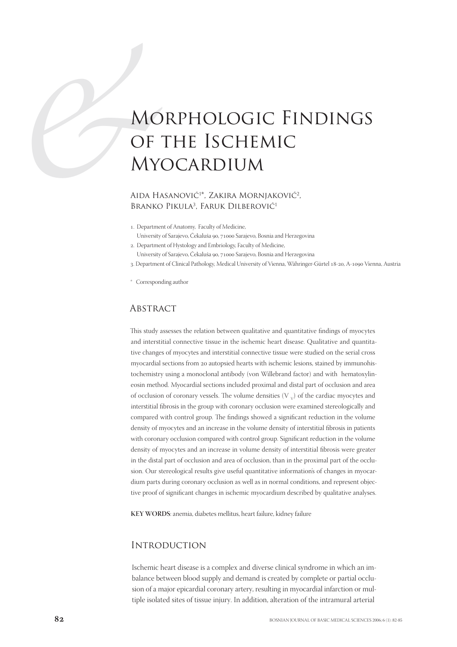# MC<br>OF<br>MY<br>AIDA HJ<br>BRANKC Morphologic Findings of the Ischemic **MYOCARDIUM**

# AIDA HASANOVIĆ<sup>1\*</sup>, ZAKIRA MORNIAKOVIĆ<sup>2</sup>, BRANKO PIKULA<sup>3</sup>, FARUK DILBEROVIĆ<sup>1</sup>

. Department of Anatomy, Faculty of Medicine,

University of Sarajevo, Čekaluša 90, 71000 Sarajevo, Bosnia and Herzegovina

. Department of Hystology and Embriology, Faculty of Medicine, University of Sarajevo, Čekaluša 90, 71000 Sarajevo, Bosnia and Herzegovina

3. Department of Clinical Pathology, Medical University of Vienna, Währinger-Gürtel 18-20, A-1090 Vienna, Austria

\* Corresponding author

## **ABSTRACT**

This study assesses the relation between qualitative and quantitative findings of myocytes and interstitial connective tissue in the ischemic heart disease. Qualitative and quantitative changes of myocytes and interstitial connective tissue were studied on the serial cross myocardial sections from 20 autopsied hearts with ischemic lesions, stained by immunohistochemistry using a monoclonal antibody (von Willebrand factor) and with hematoxylineosin method. Myocardial sections included proximal and distal part of occlusion and area of occlusion of coronary vessels. The volume densities  $(V, V)$  of the cardiac myocytes and interstitial fibrosis in the group with coronary occlusion were examined stereologically and compared with control group. The findings showed a significant reduction in the volume density of myocytes and an increase in the volume density of interstitial fibrosis in patients with coronary occlusion compared with control group. Significant reduction in the volume density of myocytes and an increase in volume density of interstitial fibrosis were greater in the distal part of occlusion and area of occlusion, than in the proximal part of the occlusion. Our stereological results give useful quantitative information's of changes in myocardium parts during coronary occlusion as well as in normal conditions, and represent objective proof of significant changes in ischemic myocardium described by qualitative analyses.

**KEY WORDS**: anemia, diabetes mellitus, heart failure, kidney failure

#### **INTRODUCTION**

Ischemic heart disease is a complex and diverse clinical syndrome in which an imbalance between blood supply and demand is created by complete or partial occlusion of a major epicardial coronary artery, resulting in myocardial infarction or multiple isolated sites of tissue injury. In addition, alteration of the intramural arterial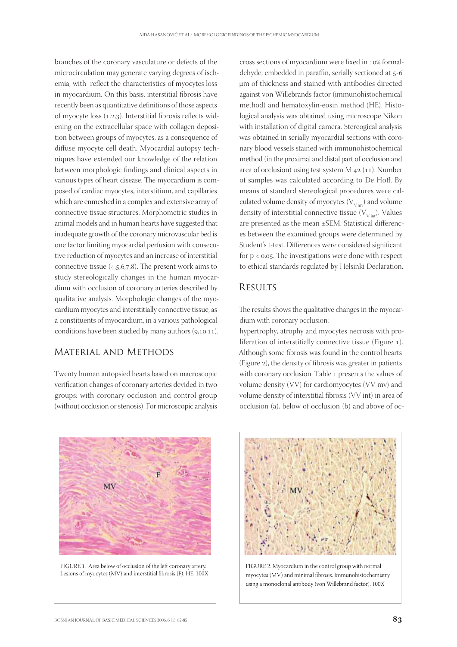branches of the coronary vasculature or defects of the microcirculation may generate varying degrees of ischemia, with reflect the characteristics of myocytes loss in myocardium. On this basis, interstitial fibrosis have recently been as quantitative definitions of those aspects of myocyte loss  $(1,2,3)$ . Interstitial fibrosis reflects widening on the extracellular space with collagen deposition between groups of myocytes, as a consequence of diffuse myocyte cell death. Myocardial autopsy techniques have extended our knowledge of the relation between morphologic findings and clinical aspects in various types of heart disease. The myocardium is composed of cardiac myocytes, interstitium, and capillaries which are enmeshed in a complex and extensive array of connective tissue structures. Morphometric studies in animal models and in human hearts have suggested that inadequate growth of the coronary microvascular bed is one factor limiting myocardial perfusion with consecutive reduction of myocytes and an increase of interstitial connective tissue  $(4,5,6,7,8)$ . The present work aims to study stereologically changes in the human myocardium with occlusion of coronary arteries described by qualitative analysis. Morphologic changes of the myocardium myocytes and interstitially connective tissue, as a constituents of myocardium, in a various pathological conditions have been studied by many authors  $(9,10,11)$ .

# Material and Methods

Twenty human autopsied hearts based on macroscopic verification changes of coronary arteries devided in two groups: with coronary occlusion and control group (without occlusion or stenosis). For microscopic analysis cross sections of myocardium were fixed in 10% formaldehyde, embedded in paraffin, serially sectioned at 5-6 μm of thickness and stained with antibodies directed against von Willebrands factor (immunohistochemical method) and hematoxylin-eosin method (HE). Histological analysis was obtained using microscope Nikon with installation of digital camera. Stereogical analysis was obtained in serially myocardial sections with coronary blood vessels stained with immunohistochemical method (in the proximal and distal part of occlusion and area of occlusion) using test system  $M$   $42$  (11). Number of samples was calculated according to De Hoff. By means of standard stereological procedures were calculated volume density of myocytes ( $V_{V{\rm mv}}$ ) and volume density of interstitial connective tissue  $(V_{\text{V} \text{int}})$ . Values are presented as the mean ±SEM. Statistical differences between the examined groups were determined by Student's t-test. Differences were considered significant for  $p < 0.05$ . The investigations were done with respect to ethical standards regulated by Helsinki Declaration.

# **RESULTS**

The results shows the qualitative changes in the myocardium with coronary occlusion:

hypertrophy, atrophy and myocytes necrosis with proliferation of interstitially connective tissue (Figure ). Although some fibrosis was found in the control hearts (Figure 2), the density of fibrosis was greater in patients with coronary occlusion. Table 1 presents the values of volume density (VV) for cardiomyocytes (VV mv) and volume density of interstitial fibrosis (VV int) in area of occlusion (a), below of occlusion (b) and above of oc-



FIGURE 1. Area below of occlusion of the left coronary artery. Lesions of myocytes (MV) and interstitial fibrosis (F). HE, 100X



FIGURE 2. Myocardium in the control group with normal myocytes (MV) and minimal fibrosis. Immunohistochemistry using a monoclonal antibody (von Willebrand factor). 100X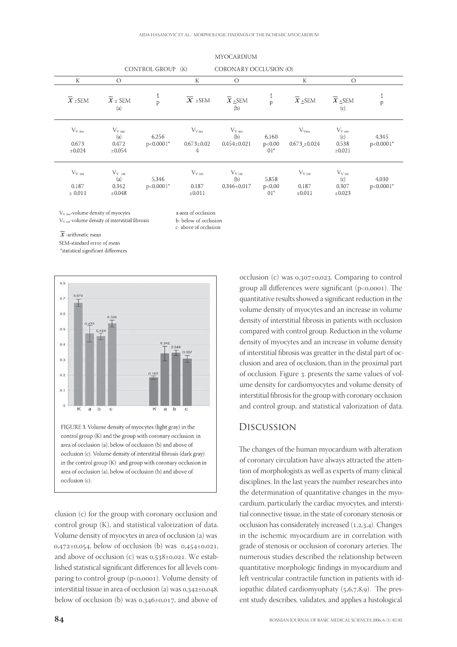|                                         |                                                 | CONTROL GROUP (IN)   |                                        | CORONART OCCLUSION (O)                            |                           |                                            |                                                                         |                       |
|-----------------------------------------|-------------------------------------------------|----------------------|----------------------------------------|---------------------------------------------------|---------------------------|--------------------------------------------|-------------------------------------------------------------------------|-----------------------|
| $\mathbf K$                             | $\bigcirc$                                      |                      | $\mathbf K$                            | $\bigcirc$                                        |                           | $\mathbf K$                                | $\circ$                                                                 |                       |
| $\overline{x}$ ± SEM                    | $\overline{x}$ ± SEM<br>(a)                     | Ţ<br>$\mathsf{p}$    | $\overline{X}$ ± SEM                   | $\overline{X}$ +SEM<br>(b)                        | p                         | $\overline{x}$ + SEM                       | $\overline{X}$ +SEM<br>$\left( \mathrm{c}\right)$                       | p                     |
| $V_{V \text{ mv}}$<br>0.673<br>±0,024   | $V_{V}$ <sub>mv</sub><br>(a)<br>0.472<br>±0.054 | 6.256<br>$p<0,0001*$ | $V_{Vmv}$<br>$0.673 \pm 0.02$<br>4     | $V_{V}$ <sub>mv</sub><br>(b)<br>$0.454 \pm 0.021$ | 6,160<br>p<0,00<br>$01*$  | $V_{Vmv}$<br>$0,673 \pm 0,024$             | $V_{V}$ <sub>mv</sub><br>$\left( \mathrm{c} \right)$<br>0,538<br>±0.021 | 4,345<br>$p<0,0001*$  |
| $V_{V \text{ int}}$<br>0.187<br>± 0,011 | $V_{V \text{int}}$<br>(a)<br>0.342<br>±0,048    | 5.346<br>$p<0,0001*$ | $V_{V \text{ int}}$<br>0,187<br>±0,011 | $V_{V\text{int}}$<br>(b)<br>$0,346\pm0,017$       | 5,858<br>p<0,00<br>$01^*$ | $V_{V\text{ int}}$<br>0.187<br>$\pm 0.011$ | $V_{V\text{ int}}$<br>$\left( \mathrm{c}\right)$<br>0.307<br>±0,023     | 4,030<br>$p<0,0001$ * |

#### **MYOCARDIUM**

 $CODONIDVOCCDICION LO$ 

 $V_{V \text{ mv}}$ -volume density of myocytes V<sub>V int</sub>-volume density of interstitial fibrosis

a-area of occlusion b- below of occlusion c-above of occlusion

 $CON$   $TDOL$   $CDOL$   $D$   $U$ 

 $\overline{x}$  -arithmetic mean

SEM-standard error of mean

\*statistical significant differences



clusion (c) for the group with coronary occlusion and control group (K), and statistical valorization of data. Volume density of myocytes in area of occlusion (a) was  $0.472 \pm 0.054$ , below of occlusion (b) was  $0.454 \pm 0.021$ . and above of occlusion (c) was  $0.538\pm0.021$ . We established statistical significant differences for all levels comparing to control group  $(p<sub>0</sub>,0001)$ . Volume density of interstitial tissue in area of occlusion (a) was  $0.342\pm0.048$ , below of occlusion (b) was 0,346±0,017, and above of

occlusion (c) was  $0.307\pm0.023$ . Comparing to control group all differences were significant  $(p<0,0001)$ . The quantitative results showed a significant reduction in the volume density of myocytes and an increase in volume density of interstitial fibrosis in patients with occlusion compared with control group. Reduction in the volume density of myocytes and an increase in volume density of interstitial fibrosis was greatter in the distal part of occlusion and area of occlusion, than in the proximal part of occlusion. Figure 3. presents the same values of volume density for cardiomyocytes and volume density of interstitial fibrosis for the group with coronary occlusion and control group, and statistical valorization of data.

## Discussion

The changes of the human myocardium with alteration of coronary circulation have always attracted the attention of morphologists as well as experts of many clinical disciplines. In the last years the number researches into the determination of quantitative changes in the myocardium, particularly the cardiac myocytes, and interstitial connective tissue, in the state of coronary stenosis or occlusion has considerately increased  $(1,2,3,4)$ . Changes in the ischemic myocardium are in correlation with grade of stenosis or occlusion of coronary arteries. The numerous studies described the relationship between quantitative morphologic findings in myocardium and left ventricular contractile function in patients with idiopathic dilated cardiomyophaty  $(5,6,7,8,9)$ . The present study describes, validates, and applies a histological